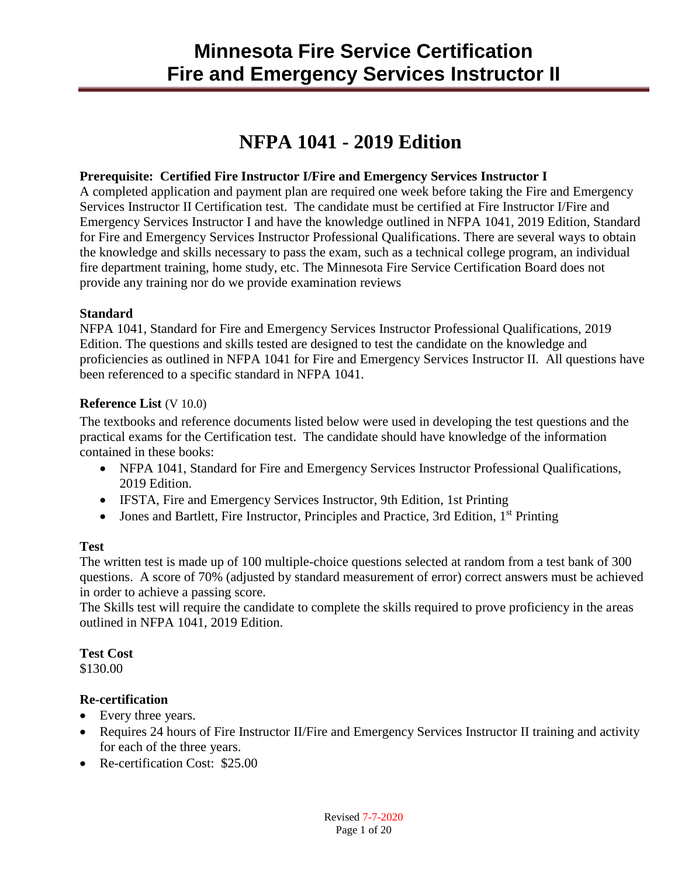## **NFPA 1041 - 2019 Edition**

#### **Prerequisite: Certified Fire Instructor I/Fire and Emergency Services Instructor I**

A completed application and payment plan are required one week before taking the Fire and Emergency Services Instructor II Certification test. The candidate must be certified at Fire Instructor I/Fire and Emergency Services Instructor I and have the knowledge outlined in NFPA 1041, 2019 Edition, Standard for Fire and Emergency Services Instructor Professional Qualifications. There are several ways to obtain the knowledge and skills necessary to pass the exam, such as a technical college program, an individual fire department training, home study, etc. The Minnesota Fire Service Certification Board does not provide any training nor do we provide examination reviews

#### **Standard**

NFPA 1041, Standard for Fire and Emergency Services Instructor Professional Qualifications, 2019 Edition. The questions and skills tested are designed to test the candidate on the knowledge and proficiencies as outlined in NFPA 1041 for Fire and Emergency Services Instructor II. All questions have been referenced to a specific standard in NFPA 1041.

#### **Reference List** (V 10.0)

The textbooks and reference documents listed below were used in developing the test questions and the practical exams for the Certification test. The candidate should have knowledge of the information contained in these books:

- NFPA 1041, Standard for Fire and Emergency Services Instructor Professional Qualifications, 2019 Edition.
- IFSTA, Fire and Emergency Services Instructor, 9th Edition, 1st Printing
- $\bullet$  Jones and Bartlett, Fire Instructor, Principles and Practice, 3rd Edition, 1<sup>st</sup> Printing

#### **Test**

The written test is made up of 100 multiple-choice questions selected at random from a test bank of 300 questions. A score of 70% (adjusted by standard measurement of error) correct answers must be achieved in order to achieve a passing score.

The Skills test will require the candidate to complete the skills required to prove proficiency in the areas outlined in NFPA 1041, 2019 Edition.

#### **Test Cost**

\$130.00

#### **Re-certification**

- Every three years.
- Requires 24 hours of Fire Instructor II/Fire and Emergency Services Instructor II training and activity for each of the three years.
- Re-certification Cost: \$25.00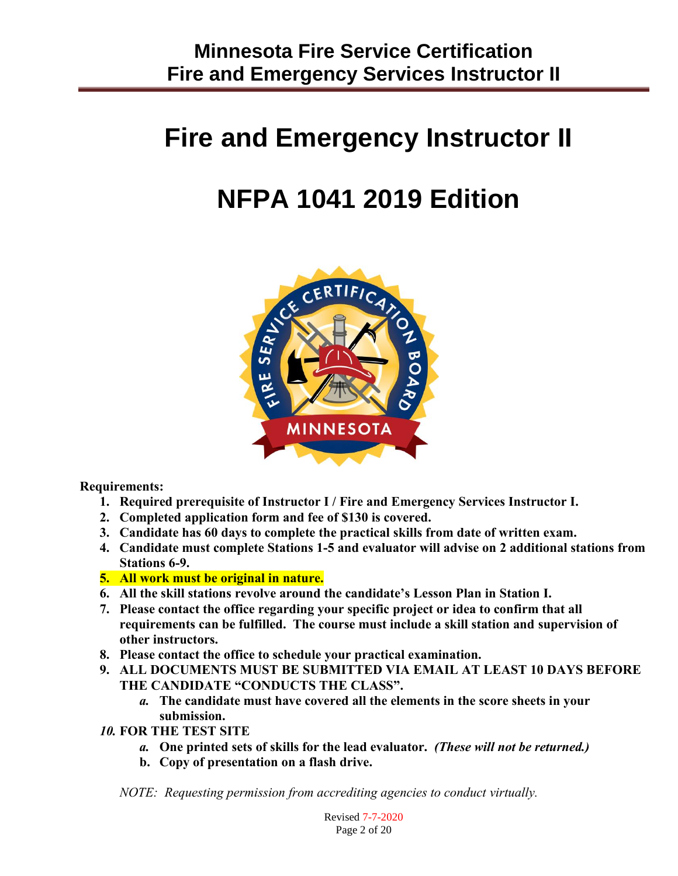# **Fire and Emergency Instructor II**

# **NFPA 1041 2019 Edition**



**Requirements:**

- **1. Required prerequisite of Instructor I / Fire and Emergency Services Instructor I.**
- **2. Completed application form and fee of \$130 is covered.**
- **3. Candidate has 60 days to complete the practical skills from date of written exam.**
- **4. Candidate must complete Stations 1-5 and evaluator will advise on 2 additional stations from Stations 6-9.**
- **5. All work must be original in nature.**
- **6. All the skill stations revolve around the candidate's Lesson Plan in Station I.**
- **7. Please contact the office regarding your specific project or idea to confirm that all requirements can be fulfilled. The course must include a skill station and supervision of other instructors.**
- **8. Please contact the office to schedule your practical examination.**
- **9. ALL DOCUMENTS MUST BE SUBMITTED VIA EMAIL AT LEAST 10 DAYS BEFORE THE CANDIDATE "CONDUCTS THE CLASS".** 
	- *a.* **The candidate must have covered all the elements in the score sheets in your submission.**
- *10.* **FOR THE TEST SITE** 
	- *a.* **One printed sets of skills for the lead evaluator.** *(These will not be returned.)*
	- **b. Copy of presentation on a flash drive.**

*NOTE: Requesting permission from accrediting agencies to conduct virtually.*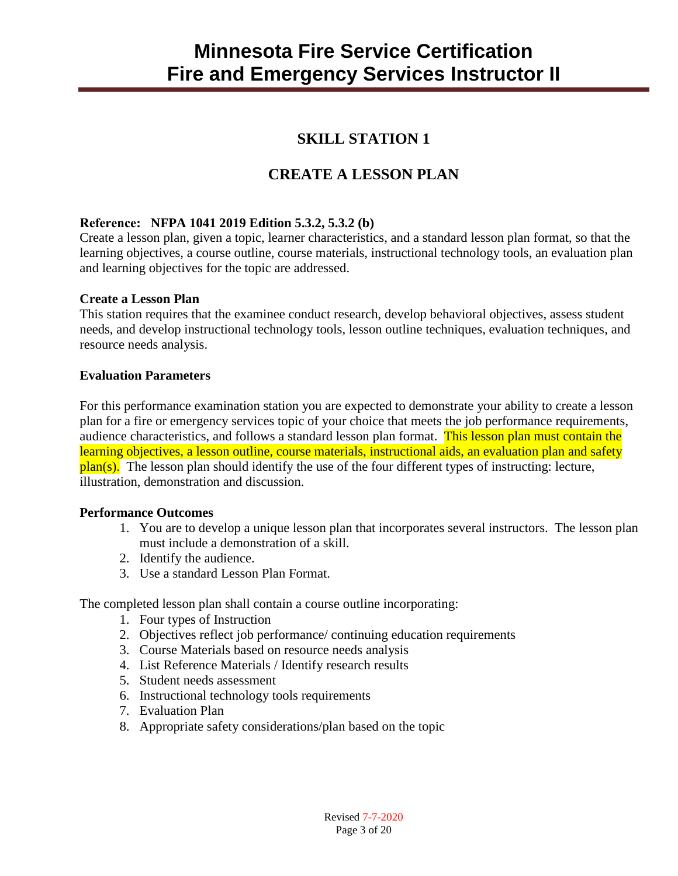## **SKILL STATION 1**

## **CREATE A LESSON PLAN**

#### **Reference: NFPA 1041 2019 Edition 5.3.2, 5.3.2 (b)**

Create a lesson plan, given a topic, learner characteristics, and a standard lesson plan format, so that the learning objectives, a course outline, course materials, instructional technology tools, an evaluation plan and learning objectives for the topic are addressed.

#### **Create a Lesson Plan**

This station requires that the examinee conduct research, develop behavioral objectives, assess student needs, and develop instructional technology tools, lesson outline techniques, evaluation techniques, and resource needs analysis.

#### **Evaluation Parameters**

For this performance examination station you are expected to demonstrate your ability to create a lesson plan for a fire or emergency services topic of your choice that meets the job performance requirements, audience characteristics, and follows a standard lesson plan format. This lesson plan must contain the learning objectives, a lesson outline, course materials, instructional aids, an evaluation plan and safety  $plan(s)$ . The lesson plan should identify the use of the four different types of instructing: lecture, illustration, demonstration and discussion.

#### **Performance Outcomes**

- 1. You are to develop a unique lesson plan that incorporates several instructors. The lesson plan must include a demonstration of a skill.
- 2. Identify the audience.
- 3. Use a standard Lesson Plan Format.

The completed lesson plan shall contain a course outline incorporating:

- 1. Four types of Instruction
- 2. Objectives reflect job performance/ continuing education requirements
- 3. Course Materials based on resource needs analysis
- 4. List Reference Materials / Identify research results
- 5. Student needs assessment
- 6. Instructional technology tools requirements
- 7. Evaluation Plan
- 8. Appropriate safety considerations/plan based on the topic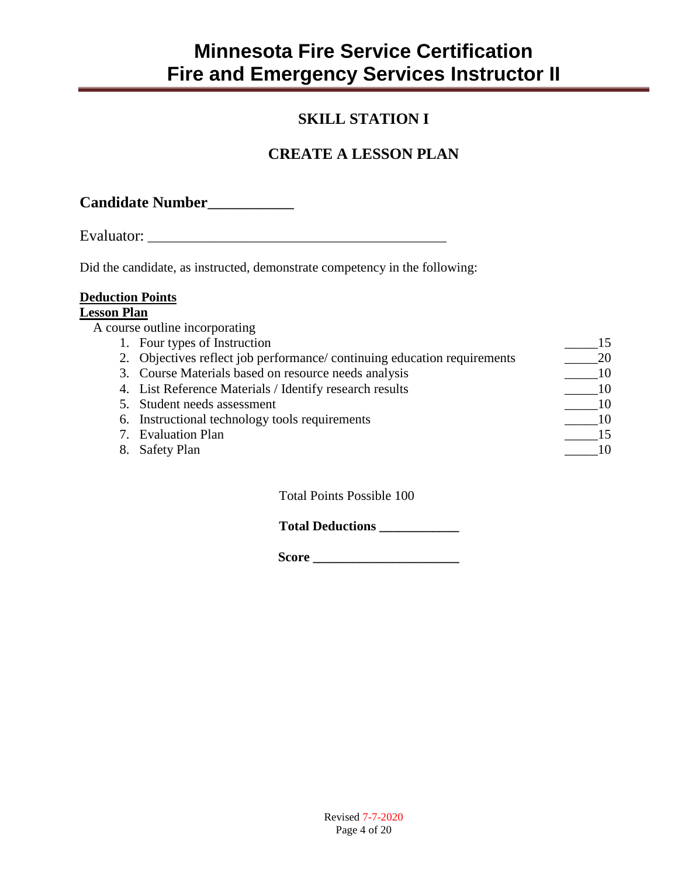## **SKILL STATION I**

## **CREATE A LESSON PLAN**

| <b>Candidate Number</b> |  |
|-------------------------|--|
|-------------------------|--|

Evaluator: \_\_\_\_\_\_\_\_\_\_\_\_\_\_\_\_\_\_\_\_\_\_\_\_\_\_\_\_\_\_\_\_\_\_\_\_\_\_\_\_\_\_\_\_\_

Did the candidate, as instructed, demonstrate competency in the following:

#### **Deduction Points**

#### **Lesson Plan**

|    | A course outline incorporating                                          |  |
|----|-------------------------------------------------------------------------|--|
|    | 1. Four types of Instruction                                            |  |
|    | 2. Objectives reflect job performance/continuing education requirements |  |
|    | 3. Course Materials based on resource needs analysis                    |  |
|    | 4. List Reference Materials / Identify research results                 |  |
|    | 5. Student needs assessment                                             |  |
|    | 6. Instructional technology tools requirements                          |  |
|    | 7. Evaluation Plan                                                      |  |
| 8. | <b>Safety Plan</b>                                                      |  |
|    |                                                                         |  |

Total Points Possible 100

**Total Deductions \_\_\_\_\_\_\_\_\_\_\_\_**

 **Score \_\_\_\_\_\_\_\_\_\_\_\_\_\_\_\_\_\_\_\_\_\_**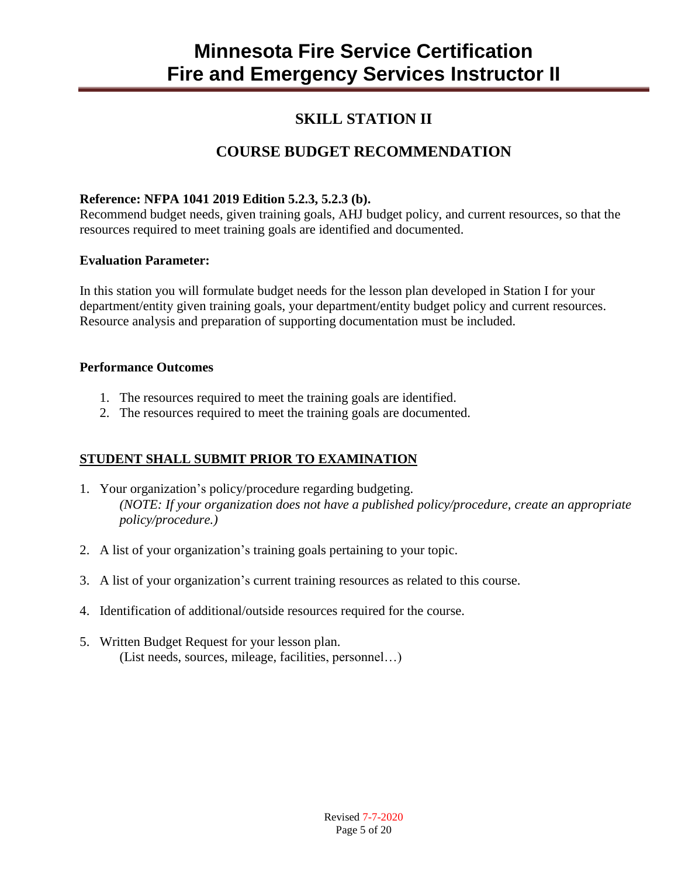### **SKILL STATION II**

## **COURSE BUDGET RECOMMENDATION**

#### **Reference: NFPA 1041 2019 Edition 5.2.3, 5.2.3 (b).**

Recommend budget needs, given training goals, AHJ budget policy, and current resources, so that the resources required to meet training goals are identified and documented.

#### **Evaluation Parameter:**

In this station you will formulate budget needs for the lesson plan developed in Station I for your department/entity given training goals, your department/entity budget policy and current resources. Resource analysis and preparation of supporting documentation must be included.

#### **Performance Outcomes**

- 1. The resources required to meet the training goals are identified.
- 2. The resources required to meet the training goals are documented.

#### **STUDENT SHALL SUBMIT PRIOR TO EXAMINATION**

- 1. Your organization's policy/procedure regarding budgeting. *(NOTE: If your organization does not have a published policy/procedure, create an appropriate policy/procedure.)*
- 2. A list of your organization's training goals pertaining to your topic.
- 3. A list of your organization's current training resources as related to this course.
- 4. Identification of additional/outside resources required for the course.
- 5. Written Budget Request for your lesson plan. (List needs, sources, mileage, facilities, personnel…)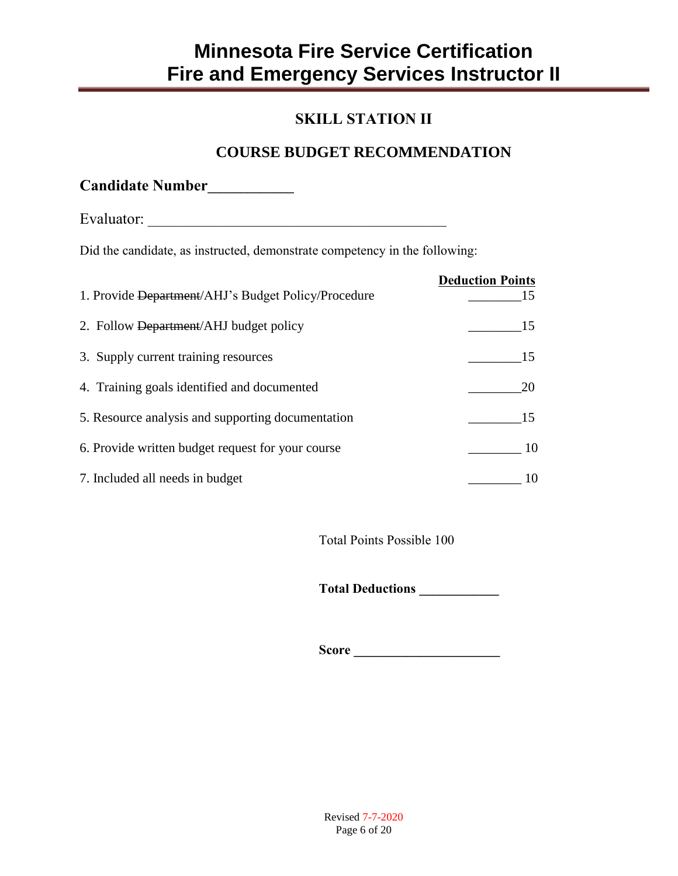## **SKILL STATION II**

### **COURSE BUDGET RECOMMENDATION**

Evaluator: \_\_\_\_\_\_\_\_\_\_\_\_\_\_\_\_\_\_\_\_\_\_\_\_\_\_\_\_\_\_\_\_\_\_\_\_\_\_\_\_\_\_\_\_\_

Did the candidate, as instructed, demonstrate competency in the following:

| 1. Provide Department/AHJ's Budget Policy/Procedure | <b>Deduction Points</b><br>15. |
|-----------------------------------------------------|--------------------------------|
| 2. Follow Department/AHJ budget policy              | 15                             |
| 3. Supply current training resources                | 15                             |
| 4. Training goals identified and documented         | 20                             |
| 5. Resource analysis and supporting documentation   | 15                             |
| 6. Provide written budget request for your course   | 10                             |
| 7. Included all needs in budget                     | 10                             |

Total Points Possible 100

**Total Deductions \_\_\_\_\_\_\_\_\_\_\_\_**

**Score \_\_\_\_\_\_\_\_\_\_\_\_\_\_\_\_\_\_\_\_\_\_**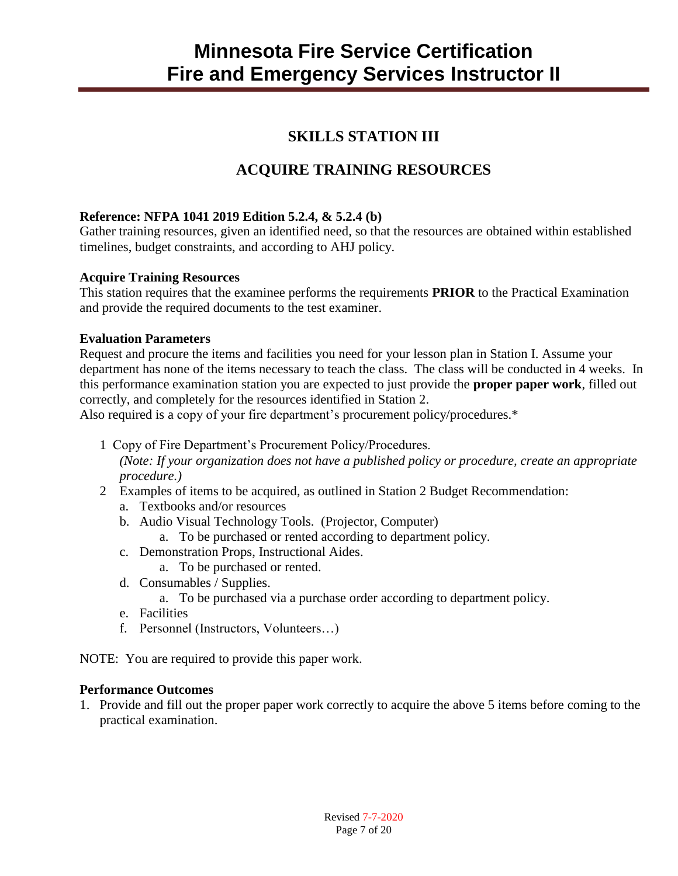### **SKILLS STATION III**

## **ACQUIRE TRAINING RESOURCES**

#### **Reference: NFPA 1041 2019 Edition 5.2.4, & 5.2.4 (b)**

Gather training resources, given an identified need, so that the resources are obtained within established timelines, budget constraints, and according to AHJ policy.

#### **Acquire Training Resources**

This station requires that the examinee performs the requirements **PRIOR** to the Practical Examination and provide the required documents to the test examiner.

#### **Evaluation Parameters**

Request and procure the items and facilities you need for your lesson plan in Station I. Assume your department has none of the items necessary to teach the class. The class will be conducted in 4 weeks. In this performance examination station you are expected to just provide the **proper paper work**, filled out correctly, and completely for the resources identified in Station 2.

Also required is a copy of your fire department's procurement policy/procedures.\*

1 Copy of Fire Department's Procurement Policy/Procedures.

*(Note: If your organization does not have a published policy or procedure, create an appropriate procedure.)*

- 2 Examples of items to be acquired, as outlined in Station 2 Budget Recommendation:
	- a. Textbooks and/or resources
	- b. Audio Visual Technology Tools. (Projector, Computer)
		- a. To be purchased or rented according to department policy.
	- c. Demonstration Props, Instructional Aides.
		- a. To be purchased or rented.
	- d. Consumables / Supplies.
		- a. To be purchased via a purchase order according to department policy.
	- e. Facilities
	- f. Personnel (Instructors, Volunteers…)

NOTE: You are required to provide this paper work.

#### **Performance Outcomes**

1. Provide and fill out the proper paper work correctly to acquire the above 5 items before coming to the practical examination.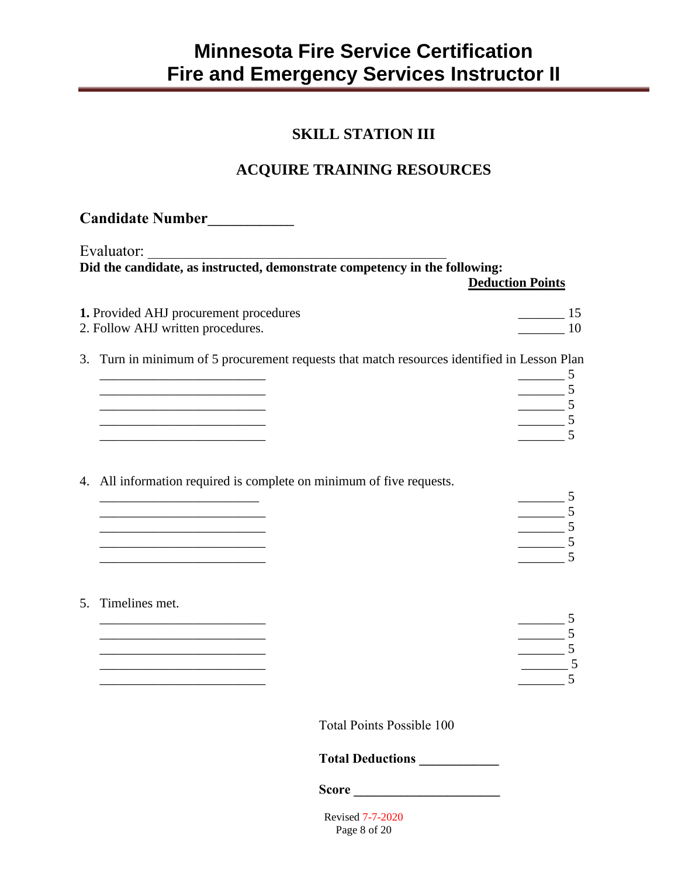### **SKILL STATION III**

## **ACQUIRE TRAINING RESOURCES**

| Candidate Number___________                                                                                                                                                                                                          |                                  |                                  |
|--------------------------------------------------------------------------------------------------------------------------------------------------------------------------------------------------------------------------------------|----------------------------------|----------------------------------|
| Evaluator:                                                                                                                                                                                                                           |                                  |                                  |
|                                                                                                                                                                                                                                      |                                  | <b>Deduction Points</b>          |
| 1. Provided AHJ procurement procedures<br>2. Follow AHJ written procedures.                                                                                                                                                          |                                  | $\frac{15}{2}$<br>$\frac{10}{2}$ |
| 3. Turn in minimum of 5 procurement requests that match resources identified in Lesson Plan                                                                                                                                          |                                  | - 5                              |
| <u> 1989 - Johann Barbara, martxa a</u>                                                                                                                                                                                              |                                  | $\frac{1}{\sqrt{2}}$ 5           |
| <u> 1980 - Johann John Stein, fransk politik (d. 1980)</u>                                                                                                                                                                           |                                  | $\frac{1}{\sqrt{5}}$             |
|                                                                                                                                                                                                                                      |                                  |                                  |
| 4. All information required is complete on minimum of five requests.                                                                                                                                                                 |                                  | $\frac{1}{\sqrt{5}}$             |
| the control of the control of the control of the control of the control of the control of                                                                                                                                            |                                  | $\frac{1}{\sqrt{2}}$ 5           |
| <u> 1980 - Johann John Harry Harry Harry Harry Harry Harry Harry Harry Harry Harry Harry Harry Harry Harry Harry Harry Harry Harry Harry Harry Harry Harry Harry Harry Harry Harry Harry Harry Harry Harry Harry Harry Harry Har</u> |                                  | $\frac{1}{\sqrt{2}}$ 5           |
|                                                                                                                                                                                                                                      |                                  |                                  |
| 5. Timelines met.                                                                                                                                                                                                                    |                                  | $\overline{\phantom{a}}$         |
|                                                                                                                                                                                                                                      |                                  | $\frac{5}{\sqrt{5}}$             |
|                                                                                                                                                                                                                                      |                                  | 5                                |
|                                                                                                                                                                                                                                      | <b>Total Points Possible 100</b> |                                  |
|                                                                                                                                                                                                                                      | Total Deductions                 |                                  |
|                                                                                                                                                                                                                                      |                                  |                                  |
|                                                                                                                                                                                                                                      | <b>Revised 7-7-2020</b>          |                                  |

Page 8 of 20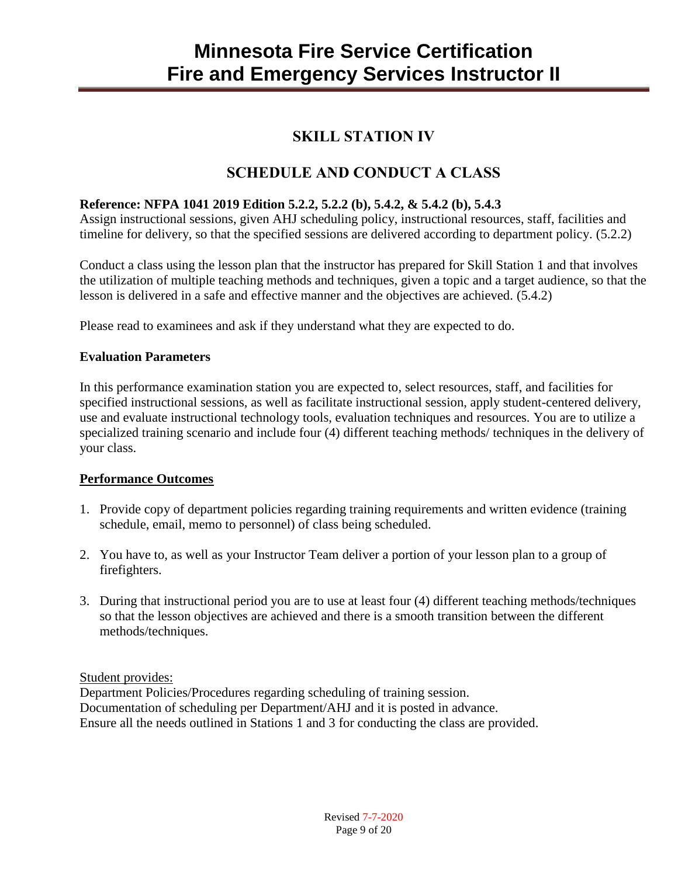### **SKILL STATION IV**

### **SCHEDULE AND CONDUCT A CLASS**

#### **Reference: NFPA 1041 2019 Edition 5.2.2, 5.2.2 (b), 5.4.2, & 5.4.2 (b), 5.4.3**

Assign instructional sessions, given AHJ scheduling policy, instructional resources, staff, facilities and timeline for delivery, so that the specified sessions are delivered according to department policy. (5.2.2)

Conduct a class using the lesson plan that the instructor has prepared for Skill Station 1 and that involves the utilization of multiple teaching methods and techniques, given a topic and a target audience, so that the lesson is delivered in a safe and effective manner and the objectives are achieved. (5.4.2)

Please read to examinees and ask if they understand what they are expected to do.

#### **Evaluation Parameters**

In this performance examination station you are expected to, select resources, staff, and facilities for specified instructional sessions, as well as facilitate instructional session, apply student-centered delivery, use and evaluate instructional technology tools, evaluation techniques and resources. You are to utilize a specialized training scenario and include four (4) different teaching methods/ techniques in the delivery of your class.

#### **Performance Outcomes**

- 1. Provide copy of department policies regarding training requirements and written evidence (training schedule, email, memo to personnel) of class being scheduled.
- 2. You have to, as well as your Instructor Team deliver a portion of your lesson plan to a group of firefighters.
- 3. During that instructional period you are to use at least four (4) different teaching methods/techniques so that the lesson objectives are achieved and there is a smooth transition between the different methods/techniques.

Student provides:

Department Policies/Procedures regarding scheduling of training session. Documentation of scheduling per Department/AHJ and it is posted in advance. Ensure all the needs outlined in Stations 1 and 3 for conducting the class are provided.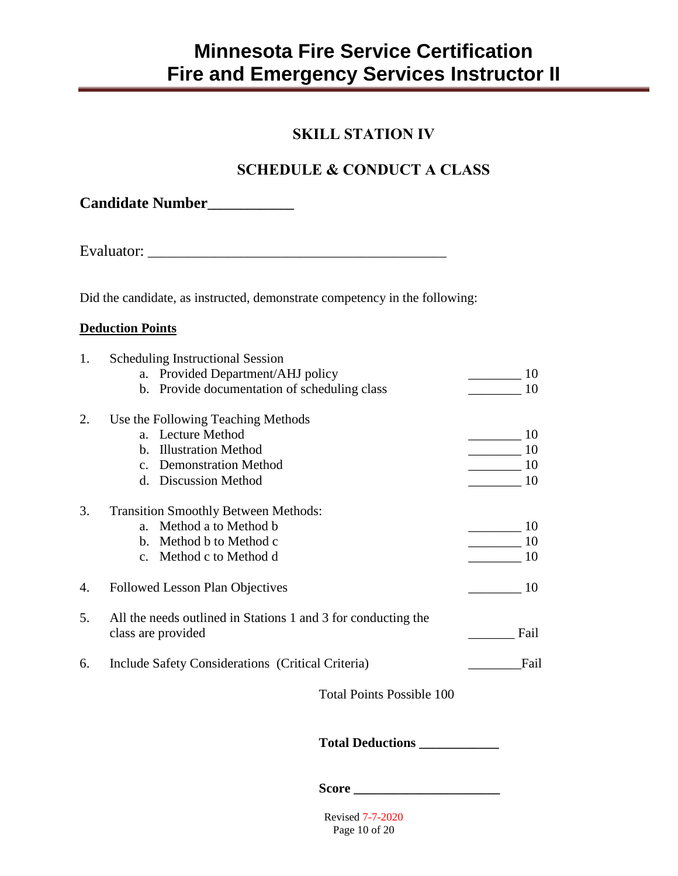### **SKILL STATION IV**

## **SCHEDULE & CONDUCT A CLASS**

Evaluator: \_\_\_\_\_\_\_\_\_\_\_\_\_\_\_\_\_\_\_\_\_\_\_\_\_\_\_\_\_\_\_\_\_\_\_\_\_\_\_\_\_\_\_\_\_

Did the candidate, as instructed, demonstrate competency in the following:

#### **Deduction Points**

| 1. |             | <b>Scheduling Instructional Session</b>                                             |      |
|----|-------------|-------------------------------------------------------------------------------------|------|
|    |             | a. Provided Department/AHJ policy                                                   | 10   |
|    |             | b. Provide documentation of scheduling class                                        | 10   |
| 2. |             | Use the Following Teaching Methods                                                  |      |
|    |             | a. Lecture Method                                                                   | 10   |
|    | $h_{\cdot}$ | <b>Illustration Method</b>                                                          | 10   |
|    |             | <b>Demonstration Method</b>                                                         | 10   |
|    | d.          | <b>Discussion Method</b>                                                            | 10   |
| 3. |             | <b>Transition Smoothly Between Methods:</b>                                         |      |
|    |             | a. Method a to Method b                                                             | 10   |
|    |             | b. Method b to Method c                                                             | 10   |
|    |             | c. Method c to Method d                                                             | 10   |
| 4. |             | <b>Followed Lesson Plan Objectives</b>                                              | 10   |
| 5. |             | All the needs outlined in Stations 1 and 3 for conducting the<br>class are provided | Fail |
| 6. |             | Include Safety Considerations (Critical Criteria)                                   | Fail |
|    |             | <b>Total Points Possible 100</b>                                                    |      |

### **Total Deductions \_\_\_\_\_\_\_\_\_\_\_\_**

**Score \_\_\_\_\_\_\_\_\_\_\_\_\_\_\_\_\_\_\_\_\_\_**

Revised 7-7-2020 Page 10 of 20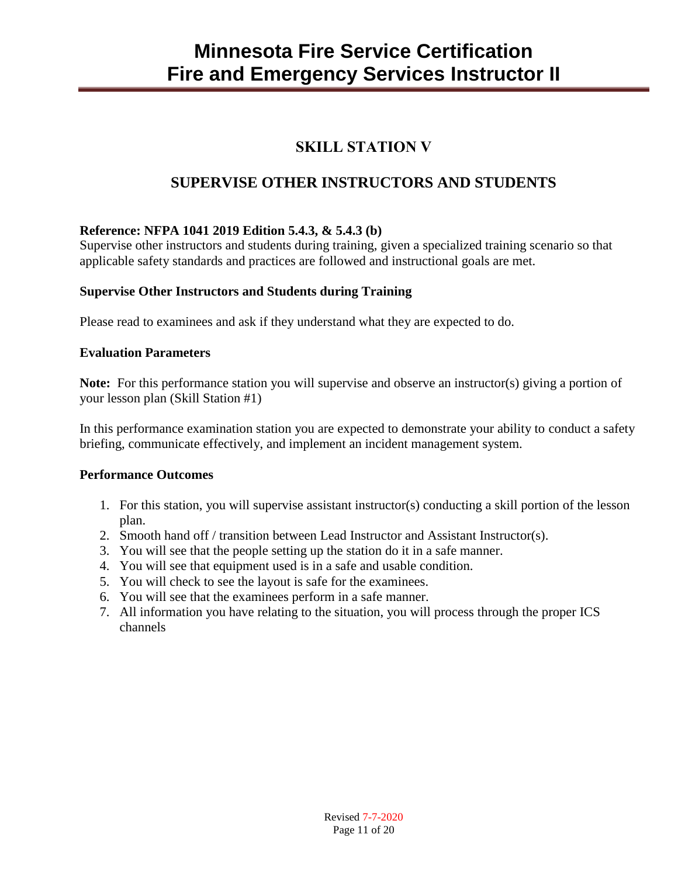## **SKILL STATION V**

## **SUPERVISE OTHER INSTRUCTORS AND STUDENTS**

#### **Reference: NFPA 1041 2019 Edition 5.4.3, & 5.4.3 (b)**

Supervise other instructors and students during training, given a specialized training scenario so that applicable safety standards and practices are followed and instructional goals are met.

#### **Supervise Other Instructors and Students during Training**

Please read to examinees and ask if they understand what they are expected to do.

#### **Evaluation Parameters**

**Note:** For this performance station you will supervise and observe an instructor(s) giving a portion of your lesson plan (Skill Station #1)

In this performance examination station you are expected to demonstrate your ability to conduct a safety briefing, communicate effectively, and implement an incident management system.

#### **Performance Outcomes**

- 1. For this station, you will supervise assistant instructor(s) conducting a skill portion of the lesson plan.
- 2. Smooth hand off / transition between Lead Instructor and Assistant Instructor(s).
- 3. You will see that the people setting up the station do it in a safe manner.
- 4. You will see that equipment used is in a safe and usable condition.
- 5. You will check to see the layout is safe for the examinees.
- 6. You will see that the examinees perform in a safe manner.
- 7. All information you have relating to the situation, you will process through the proper ICS channels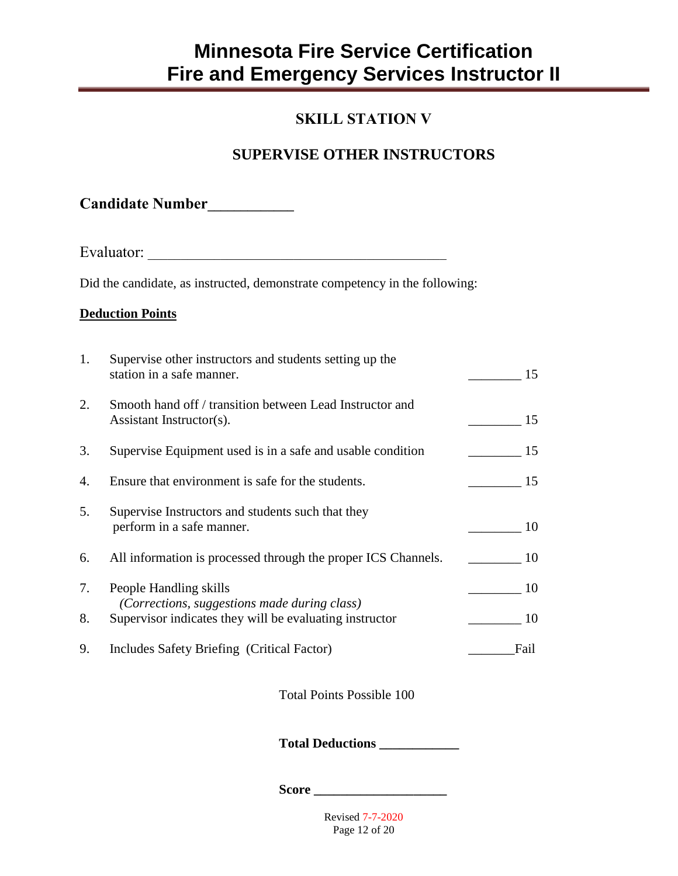## **SKILL STATION V**

## **SUPERVISE OTHER INSTRUCTORS**

**Candidate Number\_\_\_\_\_\_\_\_\_\_\_\_\_**

Evaluator: \_\_\_\_\_\_\_\_\_\_\_\_\_\_\_\_\_\_\_\_\_\_\_\_\_\_\_\_\_\_\_\_\_\_\_\_\_\_\_\_\_\_\_\_\_

Did the candidate, as instructed, demonstrate competency in the following:

#### **Deduction Points**

| 1. | Supervise other instructors and students setting up the<br>station in a safe manner.                    | 15   |
|----|---------------------------------------------------------------------------------------------------------|------|
| 2. | Smooth hand off / transition between Lead Instructor and<br>Assistant Instructor(s).                    | 15   |
| 3. | Supervise Equipment used is in a safe and usable condition                                              | 15   |
| 4. | Ensure that environment is safe for the students.                                                       | 15   |
| 5. | Supervise Instructors and students such that they<br>perform in a safe manner.                          | 10   |
| 6. | All information is processed through the proper ICS Channels.                                           | 10   |
| 7. | People Handling skills                                                                                  | 10   |
| 8. | (Corrections, suggestions made during class)<br>Supervisor indicates they will be evaluating instructor | 10   |
| 9. | Includes Safety Briefing (Critical Factor)                                                              | Fail |

Total Points Possible 100

**Total Deductions \_\_\_\_\_\_\_\_\_\_\_\_**

**Score \_\_\_\_\_\_\_\_\_\_\_\_\_\_\_\_\_\_\_\_**

Revised 7-7-2020 Page 12 of 20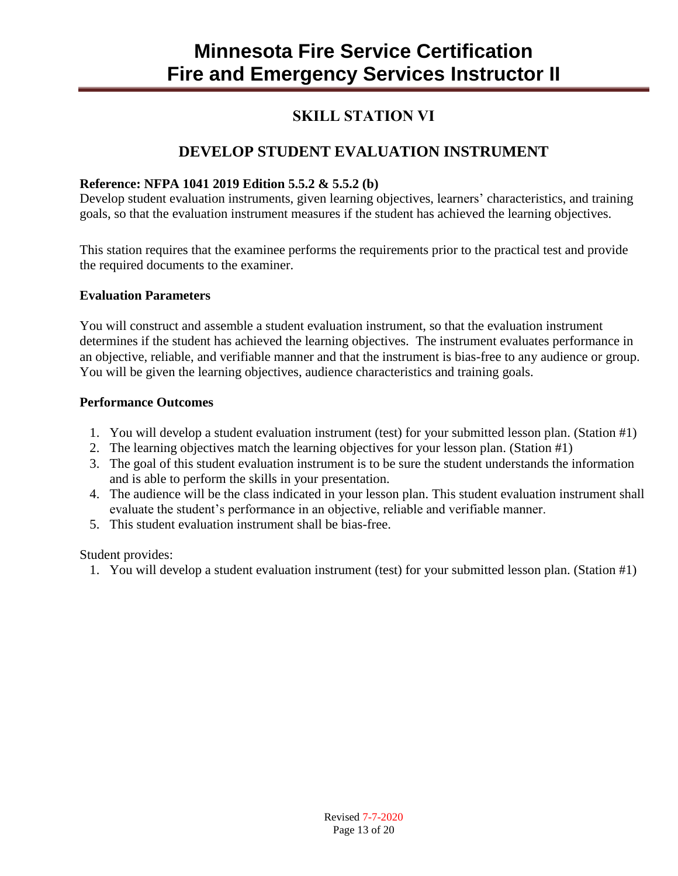### **SKILL STATION VI**

## **DEVELOP STUDENT EVALUATION INSTRUMENT**

#### **Reference: NFPA 1041 2019 Edition 5.5.2 & 5.5.2 (b)**

Develop student evaluation instruments, given learning objectives, learners' characteristics, and training goals, so that the evaluation instrument measures if the student has achieved the learning objectives.

This station requires that the examinee performs the requirements prior to the practical test and provide the required documents to the examiner.

#### **Evaluation Parameters**

You will construct and assemble a student evaluation instrument, so that the evaluation instrument determines if the student has achieved the learning objectives. The instrument evaluates performance in an objective, reliable, and verifiable manner and that the instrument is bias-free to any audience or group. You will be given the learning objectives, audience characteristics and training goals.

#### **Performance Outcomes**

- 1. You will develop a student evaluation instrument (test) for your submitted lesson plan. (Station #1)
- 2. The learning objectives match the learning objectives for your lesson plan. (Station #1)
- 3. The goal of this student evaluation instrument is to be sure the student understands the information and is able to perform the skills in your presentation.
- 4. The audience will be the class indicated in your lesson plan. This student evaluation instrument shall evaluate the student's performance in an objective, reliable and verifiable manner.
- 5. This student evaluation instrument shall be bias-free.

Student provides:

1. You will develop a student evaluation instrument (test) for your submitted lesson plan. (Station #1)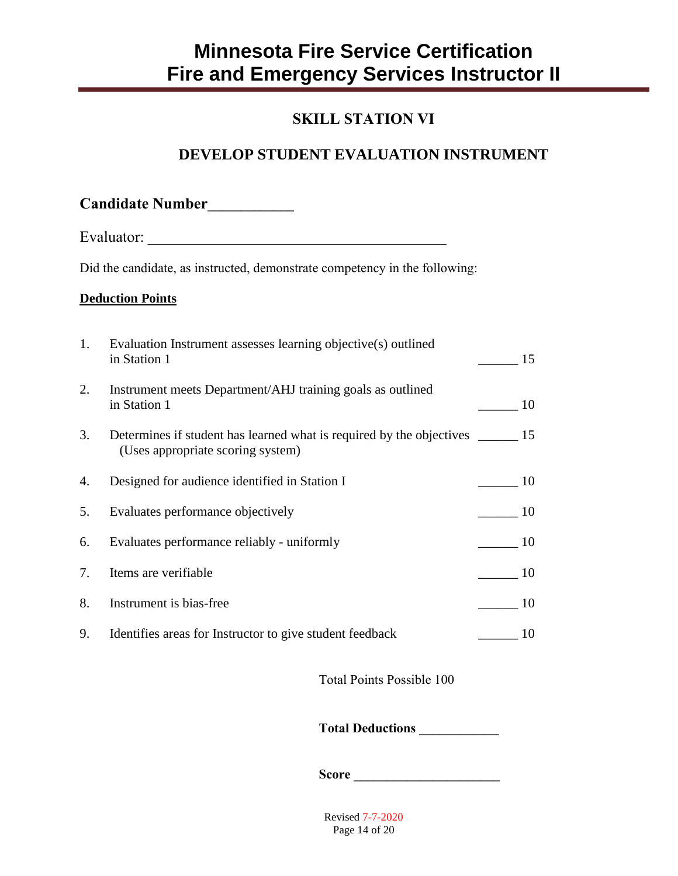### **SKILL STATION VI**

## **DEVELOP STUDENT EVALUATION INSTRUMENT**

|    | Candidate Number                                                                                                      |                |
|----|-----------------------------------------------------------------------------------------------------------------------|----------------|
|    |                                                                                                                       |                |
|    | Did the candidate, as instructed, demonstrate competency in the following:                                            |                |
|    | <b>Deduction Points</b>                                                                                               |                |
| 1. | Evaluation Instrument assesses learning objective(s) outlined<br>in Station 1                                         | 15             |
| 2. | Instrument meets Department/AHJ training goals as outlined<br>in Station 1                                            | 10             |
| 3. | Determines if student has learned what is required by the objectives ________ 15<br>(Uses appropriate scoring system) |                |
| 4. | Designed for audience identified in Station I                                                                         | 10             |
| 5. | Evaluates performance objectively                                                                                     | $\frac{10}{2}$ |
| 6. | Evaluates performance reliably - uniformly                                                                            | 10             |
| 7. | Items are verifiable                                                                                                  | 10             |
| 8. | Instrument is bias-free                                                                                               | 10             |
| 9. | Identifies areas for Instructor to give student feedback                                                              | 10             |

Total Points Possible 100

**Total Deductions \_\_\_\_\_\_\_\_\_\_\_\_**

**Score \_\_\_\_\_\_\_\_\_\_\_\_\_\_\_\_\_\_\_\_\_\_**

Revised 7-7-2020 Page 14 of 20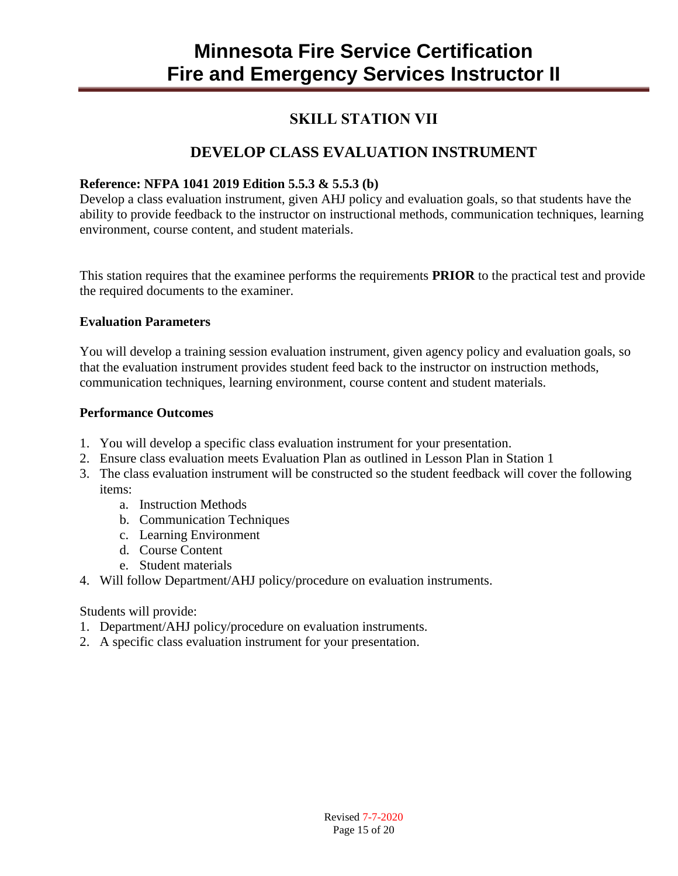### **SKILL STATION VII**

### **DEVELOP CLASS EVALUATION INSTRUMENT**

#### **Reference: NFPA 1041 2019 Edition 5.5.3 & 5.5.3 (b)**

Develop a class evaluation instrument, given AHJ policy and evaluation goals, so that students have the ability to provide feedback to the instructor on instructional methods, communication techniques, learning environment, course content, and student materials.

This station requires that the examinee performs the requirements **PRIOR** to the practical test and provide the required documents to the examiner.

#### **Evaluation Parameters**

You will develop a training session evaluation instrument, given agency policy and evaluation goals, so that the evaluation instrument provides student feed back to the instructor on instruction methods, communication techniques, learning environment, course content and student materials.

#### **Performance Outcomes**

- 1. You will develop a specific class evaluation instrument for your presentation.
- 2. Ensure class evaluation meets Evaluation Plan as outlined in Lesson Plan in Station 1
- 3. The class evaluation instrument will be constructed so the student feedback will cover the following items:
	- a. Instruction Methods
	- b. Communication Techniques
	- c. Learning Environment
	- d. Course Content
	- e. Student materials
- 4. Will follow Department/AHJ policy/procedure on evaluation instruments.

#### Students will provide:

- 1. Department/AHJ policy/procedure on evaluation instruments.
- 2. A specific class evaluation instrument for your presentation.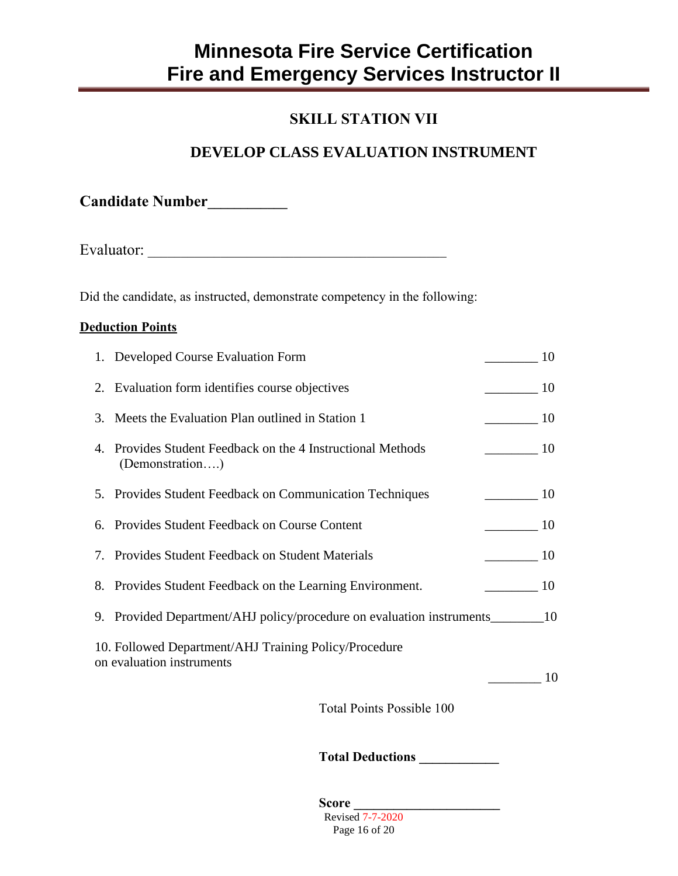### **SKILL STATION VII**

### **DEVELOP CLASS EVALUATION INSTRUMENT**

**Candidate Number\_\_\_\_\_\_\_\_\_\_\_\_**

Evaluator: \_\_\_\_\_\_\_\_\_\_\_\_\_\_\_\_\_\_\_\_\_\_\_\_\_\_\_\_\_\_\_\_\_\_\_\_\_\_\_\_\_\_\_\_\_

Did the candidate, as instructed, demonstrate competency in the following:

#### **Deduction Points**

| 1. Developed Course Evaluation Form                                                |                | 10   |
|------------------------------------------------------------------------------------|----------------|------|
| 2. Evaluation form identifies course objectives                                    |                | 10   |
| 3. Meets the Evaluation Plan outlined in Station 1                                 | 10             |      |
| 4. Provides Student Feedback on the 4 Instructional Methods<br>(Demonstration)     | 10             |      |
| 5. Provides Student Feedback on Communication Techniques                           |                | 10   |
| 6. Provides Student Feedback on Course Content                                     |                | - 10 |
| 7. Provides Student Feedback on Student Materials                                  |                | 10   |
| 8. Provides Student Feedback on the Learning Environment.                          | $\frac{10}{2}$ |      |
| 9. Provided Department/AHJ policy/procedure on evaluation instruments___________   |                | -10  |
| 10. Followed Department/AHJ Training Policy/Procedure<br>on evaluation instruments |                |      |
|                                                                                    |                | 10   |
|                                                                                    |                |      |

Total Points Possible 100

**Total Deductions \_\_\_\_\_\_\_\_\_\_\_\_**

Revised 7-7-2020 Page 16 of 20 **Score \_\_\_\_\_\_\_\_\_\_\_\_\_\_\_\_\_\_\_\_\_\_**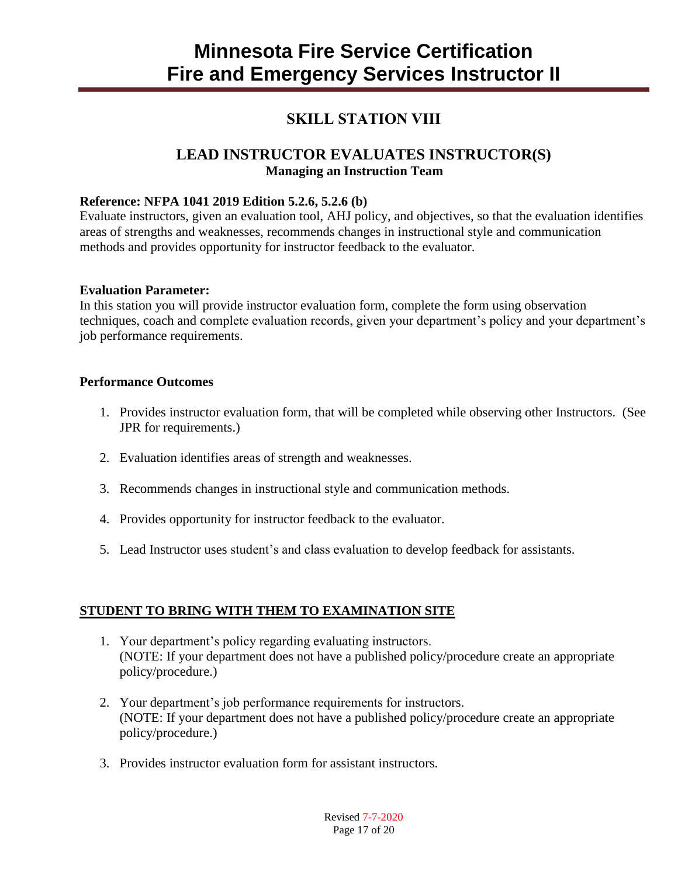### **SKILL STATION VIII**

#### **LEAD INSTRUCTOR EVALUATES INSTRUCTOR(S) Managing an Instruction Team**

#### **Reference: NFPA 1041 2019 Edition 5.2.6, 5.2.6 (b)**

Evaluate instructors, given an evaluation tool, AHJ policy, and objectives, so that the evaluation identifies areas of strengths and weaknesses, recommends changes in instructional style and communication methods and provides opportunity for instructor feedback to the evaluator.

#### **Evaluation Parameter:**

In this station you will provide instructor evaluation form, complete the form using observation techniques, coach and complete evaluation records, given your department's policy and your department's job performance requirements.

#### **Performance Outcomes**

- 1. Provides instructor evaluation form, that will be completed while observing other Instructors. (See JPR for requirements.)
- 2. Evaluation identifies areas of strength and weaknesses.
- 3. Recommends changes in instructional style and communication methods.
- 4. Provides opportunity for instructor feedback to the evaluator.
- 5. Lead Instructor uses student's and class evaluation to develop feedback for assistants.

#### **STUDENT TO BRING WITH THEM TO EXAMINATION SITE**

- 1. Your department's policy regarding evaluating instructors. (NOTE: If your department does not have a published policy/procedure create an appropriate policy/procedure.)
- 2. Your department's job performance requirements for instructors. (NOTE: If your department does not have a published policy/procedure create an appropriate policy/procedure.)
- 3. Provides instructor evaluation form for assistant instructors.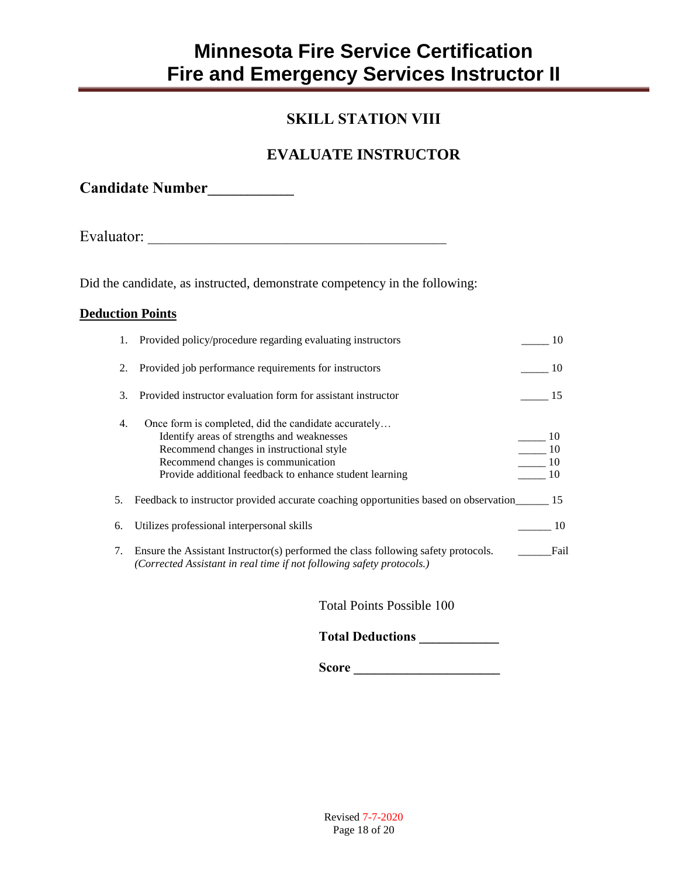### **SKILL STATION VIII**

## **EVALUATE INSTRUCTOR**

**Candidate Number\_\_\_\_\_\_\_\_\_\_\_\_\_**

Evaluator: \_\_\_\_\_\_\_\_\_\_\_\_\_\_\_\_\_\_\_\_\_\_\_\_\_\_\_\_\_\_\_\_\_\_\_\_\_\_\_\_\_\_\_\_\_

Did the candidate, as instructed, demonstrate competency in the following:

#### **Deduction Points**

| 1. | Provided policy/procedure regarding evaluating instructors                                                                                                                                                                                      | 10             |
|----|-------------------------------------------------------------------------------------------------------------------------------------------------------------------------------------------------------------------------------------------------|----------------|
| 2. | Provided job performance requirements for instructors                                                                                                                                                                                           | - 10           |
| 3. | Provided instructor evaluation form for assistant instructor                                                                                                                                                                                    | 15             |
| 4. | Once form is completed, did the candidate accurately<br>Identify areas of strengths and weaknesses<br>Recommend changes in instructional style<br>Recommend changes is communication<br>Provide additional feedback to enhance student learning | 10<br>10<br>10 |
| 5. | Feedback to instructor provided accurate coaching opportunities based on observation 15                                                                                                                                                         |                |
| 6. | Utilizes professional interpersonal skills                                                                                                                                                                                                      | 10             |
| 7. | Ensure the Assistant Instructor(s) performed the class following safety protocols.<br>(Corrected Assistant in real time if not following safety protocols.)                                                                                     | Fail           |

Total Points Possible 100

**Total Deductions \_\_\_\_\_\_\_\_\_\_\_\_**

**Score \_\_\_\_\_\_\_\_\_\_\_\_\_\_\_\_\_\_\_\_\_\_**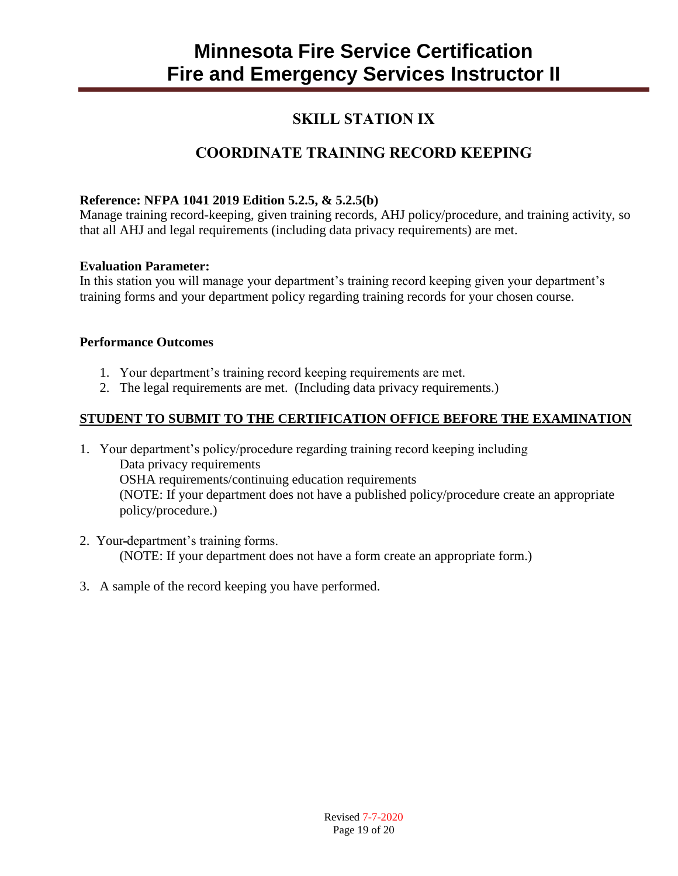### **SKILL STATION IX**

## **COORDINATE TRAINING RECORD KEEPING**

#### **Reference: NFPA 1041 2019 Edition 5.2.5, & 5.2.5(b)**

Manage training record-keeping, given training records, AHJ policy/procedure, and training activity, so that all AHJ and legal requirements (including data privacy requirements) are met.

#### **Evaluation Parameter:**

In this station you will manage your department's training record keeping given your department's training forms and your department policy regarding training records for your chosen course.

#### **Performance Outcomes**

- 1. Your department's training record keeping requirements are met.
- 2. The legal requirements are met. (Including data privacy requirements.)

#### **STUDENT TO SUBMIT TO THE CERTIFICATION OFFICE BEFORE THE EXAMINATION**

- 1. Your department's policy/procedure regarding training record keeping including Data privacy requirements OSHA requirements/continuing education requirements (NOTE: If your department does not have a published policy/procedure create an appropriate policy/procedure.)
- 2. Your department's training forms. (NOTE: If your department does not have a form create an appropriate form.)
- 3. A sample of the record keeping you have performed.